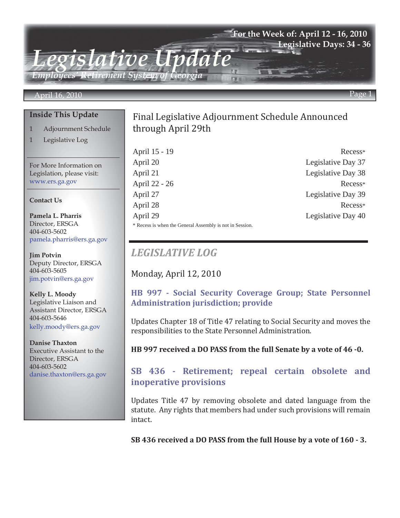### **For the Week of: April 12 - 16, 2010 Legislative Days: 34 - 36**

*Employees' Retirement System of Georgia*

*Legislative Update*

#### April 16, 2010

#### **Inside This Update**

- 1 Adjournment Schedule
- 1 Legislative Log

For More Information on Legislation, please visit: www.ers.ga.gov

#### **Contact Us**

**Pamela L. Pharris** Director, ERSGA 404-603-5602 pamela.pharris@ers.ga.gov

**Jim Potvin** Deputy Director, ERSGA 404-603-5605 jim.potvin@ers.ga.gov

**Kelly L. Moody** Legislative Liaison and Assistant Director, ERSGA 404-603-5646 kelly.moody@ers.ga.gov

**Danise Thaxton** Executive Assistant to the Director, ERSGA 404-603-5602 danise.thaxton@ers.ga.gov

# through April 29th Final Legislative Adjournment Schedule Announced

April 15 - 19 Recess\* April 20 Legislative Day 37 April 21 Legislative Day 38 April 22 - 26 Recess\* April 27 Legislative Day 39 April 28 Recess\* April 29 Legislative Day 40 \* Recess is when the General Assembly is not in Session.

# *LEGISLATIVE LOG*

Monday, April 12, 2010

# **HB 997 - Social Security Coverage Group; State Personnel Administration jurisdiction; provide**

Updates Chapter 18 of Title 47 relating to Social Security and moves the responsibilities to the State Personnel Administration.

**HB 997 received a DO PASS from the full Senate by a vote of 46 -0.**

# **SB 436 - Retirement; repeal certain obsolete and inoperative provisions**

Updates Title 47 by removing obsolete and dated language from the statute. Any rights that members had under such provisions will remain intact.

**SB 436 received a DO PASS from the full House by a vote of 160 - 3.**